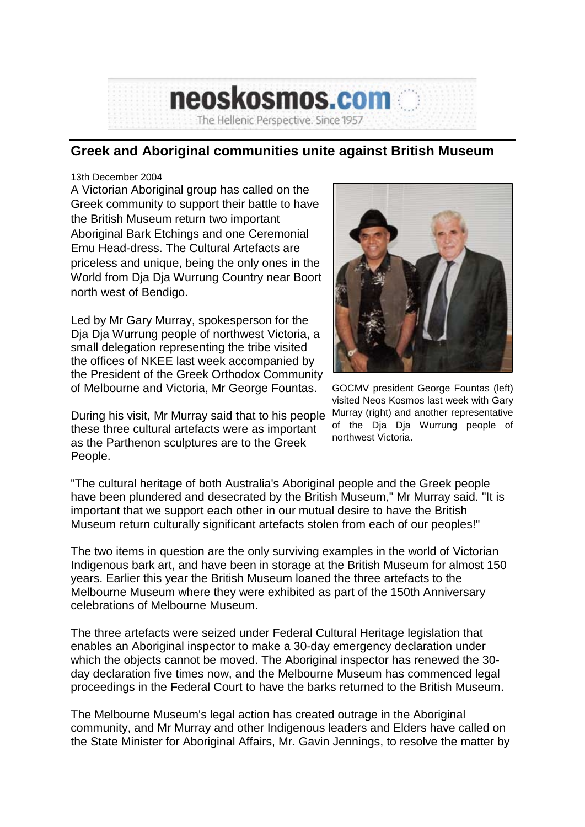## **Greek and Aboriginal communities unite against British Museum**

The Hellenic Perspective. Since 1957

neoskosmos.com

## 13th December 2004

A Victorian Aboriginal group has called on the Greek community to support their battle to have the British Museum return two important Aboriginal Bark Etchings and one Ceremonial Emu Head-dress. The Cultural Artefacts are priceless and unique, being the only ones in the World from Dja Dja Wurrung Country near Boort north west of Bendigo.

Led by Mr Gary Murray, spokesperson for the Dja Dja Wurrung people of northwest Victoria, a small delegation representing the tribe visited the offices of NKEE last week accompanied by the President of the Greek Orthodox Community of Melbourne and Victoria, Mr George Fountas.

During his visit, Mr Murray said that to his people these three cultural artefacts were as important as the Parthenon sculptures are to the Greek People.



GOCMV president George Fountas (left) visited Neos Kosmos last week with Gary Murray (right) and another representative of the Dja Dja Wurrung people of northwest Victoria.

"The cultural heritage of both Australia's Aboriginal people and the Greek people have been plundered and desecrated by the British Museum," Mr Murray said. "It is important that we support each other in our mutual desire to have the British Museum return culturally significant artefacts stolen from each of our peoples!"

The two items in question are the only surviving examples in the world of Victorian Indigenous bark art, and have been in storage at the British Museum for almost 150 years. Earlier this year the British Museum loaned the three artefacts to the Melbourne Museum where they were exhibited as part of the 150th Anniversary celebrations of Melbourne Museum.

The three artefacts were seized under Federal Cultural Heritage legislation that enables an Aboriginal inspector to make a 30-day emergency declaration under which the objects cannot be moved. The Aboriginal inspector has renewed the 30 day declaration five times now, and the Melbourne Museum has commenced legal proceedings in the Federal Court to have the barks returned to the British Museum.

The Melbourne Museum's legal action has created outrage in the Aboriginal community, and Mr Murray and other Indigenous leaders and Elders have called on the State Minister for Aboriginal Affairs, Mr. Gavin Jennings, to resolve the matter by